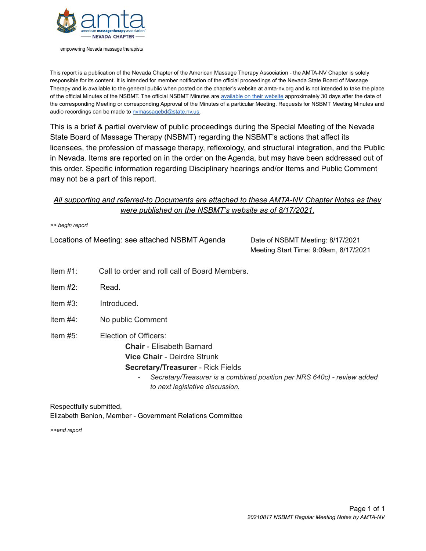

empowering Nevada massage therapists

This report is a publication of the Nevada Chapter of the American Massage Therapy Association - the AMTA-NV Chapter is solely responsible for its content. It is intended for member notification of the official proceedings of the Nevada State Board of Massage Therapy and is available to the general public when posted on the chapter's website at amta-nv.org and is not intended to take the place of the official Minutes of the NSBMT. The official NSBMT Minutes are [available](http://massagetherapy.nv.gov/About/Board_Meetings/2021/2021_meetings/) on their website approximately 30 days after the date of the corresponding Meeting or corresponding Approval of the Minutes of a particular Meeting. Requests for NSBMT Meeting Minutes and audio recordings can be made to [nvmassagebd@state.nv.us.](mailto:nvmassagebd@state.nv.us)

This is a brief & partial overview of public proceedings during the Special Meeting of the Nevada State Board of Massage Therapy (NSBMT) regarding the NSBMT's actions that affect its licensees, the profession of massage therapy, reflexology, and structural integration, and the Public in Nevada. Items are reported on in the order on the Agenda, but may have been addressed out of this order. Specific information regarding Disciplinary hearings and/or Items and Public Comment may not be a part of this report.

## *All supporting and referred-to Documents are attached to these AMTA-NV Chapter Notes as they were published on the NSBMT's website as of 8/17/2021.*

|  |  | >> begin report |
|--|--|-----------------|
|--|--|-----------------|

Locations of Meeting: see attached NSBMT Agenda Date of NSBMT Meeting: 8/17/2021

Meeting Start Time: 9:09am, 8/17/2021

- Item #1: Call to order and roll call of Board Members.
- Item #2: Read.
- Item #3: Introduced.
- Item #4: No public Comment
- Item #5: Election of Officers: **Chair** - Elisabeth Barnard **Vice Chair** - Deirdre Strunk **Secretary/Treasurer** - Rick Fields
	- *- Secretary/Treasurer is a combined position per NRS 640c) - review added to next legislative discussion.*

Respectfully submitted, Elizabeth Benion, Member - Government Relations Committee

*>>end report*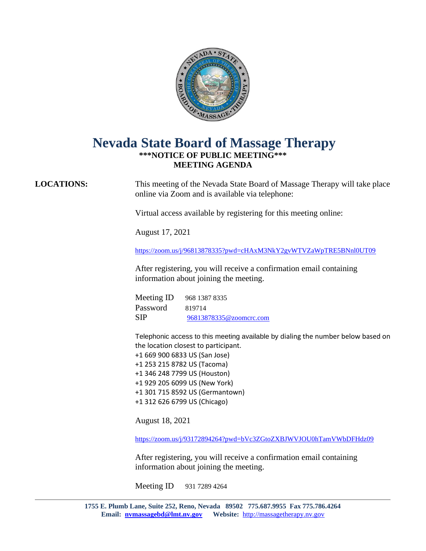

# **Nevada State Board of Massage Therapy \*\*\*NOTICE OF PUBLIC MEETING\*\*\* MEETING AGENDA**

**LOCATIONS:** This meeting of the Nevada State Board of Massage Therapy will take place online via Zoom and is available via telephone:

Virtual access available by registering for this meeting online:

August 17, 2021

<https://zoom.us/j/96813878335?pwd=cHAxM3NkY2gvWTVZaWpTRE5BNnl0UT09>

After registering, you will receive a confirmation email containing information about joining the meeting.

Meeting ID 968 1387 8335 Password 819714 SIP [96813878335@zoomcrc.com](mailto:96813878335@zoomcrc.com)

Telephonic access to this meeting available by dialing the number below based on the location closest to participant.

 +1 669 900 6833 US (San Jose) +1 253 215 8782 US (Tacoma) +1 346 248 7799 US (Houston) +1 929 205 6099 US (New York) +1 301 715 8592 US (Germantown) +1 312 626 6799 US (Chicago)

August 18, 2021

<https://zoom.us/j/93172894264?pwd=bVc3ZGtoZXBJWVJOU0hTamVWbDFHdz09>

After registering, you will receive a confirmation email containing information about joining the meeting.

Meeting ID 931 7289 4264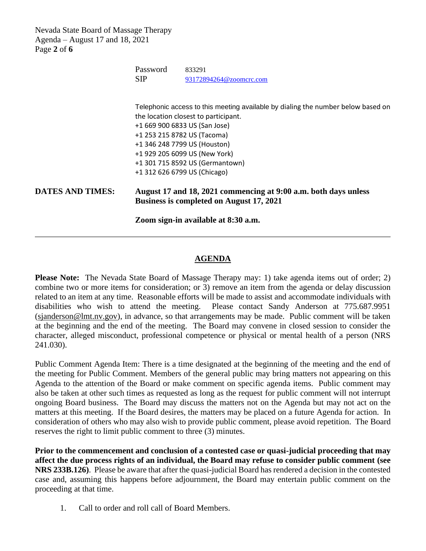Nevada State Board of Massage Therapy Agenda – August 17 and 18, 2021 Page **2** of **6**

|                              | Password<br><b>SIP</b>                                                                                      | 833291<br>93172894264@zoomcrc.com                                                                                        |  |
|------------------------------|-------------------------------------------------------------------------------------------------------------|--------------------------------------------------------------------------------------------------------------------------|--|
|                              |                                                                                                             |                                                                                                                          |  |
|                              |                                                                                                             | Telephonic access to this meeting available by dialing the number below based on<br>the location closest to participant. |  |
|                              |                                                                                                             | +1 669 900 6833 US (San Jose)                                                                                            |  |
|                              | +1 253 215 8782 US (Tacoma)                                                                                 |                                                                                                                          |  |
| +1 346 248 7799 US (Houston) |                                                                                                             |                                                                                                                          |  |
|                              | +1 929 205 6099 US (New York)                                                                               |                                                                                                                          |  |
|                              |                                                                                                             | +1 301 715 8592 US (Germantown)                                                                                          |  |
|                              |                                                                                                             | +1 312 626 6799 US (Chicago)                                                                                             |  |
| <b>DATES AND TIMES:</b>      | August 17 and 18, 2021 commencing at 9:00 a.m. both days unless<br>Business is completed on August 17, 2021 |                                                                                                                          |  |

**Zoom sign-in available at 8:30 a.m.**

### **AGENDA**

**Please Note:** The Nevada State Board of Massage Therapy may: 1) take agenda items out of order; 2) combine two or more items for consideration; or 3) remove an item from the agenda or delay discussion related to an item at any time. Reasonable efforts will be made to assist and accommodate individuals with disabilities who wish to attend the meeting. Please contact Sandy Anderson at 775.687.9951 [\(sjanderson@lmt.nv.gov\)](mailto:sjanderson@lmt.nv.gov), in advance, so that arrangements may be made. Public comment will be taken at the beginning and the end of the meeting. The Board may convene in closed session to consider the character, alleged misconduct, professional competence or physical or mental health of a person (NRS 241.030).

Public Comment Agenda Item: There is a time designated at the beginning of the meeting and the end of the meeting for Public Comment. Members of the general public may bring matters not appearing on this Agenda to the attention of the Board or make comment on specific agenda items. Public comment may also be taken at other such times as requested as long as the request for public comment will not interrupt ongoing Board business. The Board may discuss the matters not on the Agenda but may not act on the matters at this meeting. If the Board desires, the matters may be placed on a future Agenda for action. In consideration of others who may also wish to provide public comment, please avoid repetition. The Board reserves the right to limit public comment to three (3) minutes.

**Prior to the commencement and conclusion of a contested case or quasi-judicial proceeding that may affect the due process rights of an individual, the Board may refuse to consider public comment (see NRS 233B.126)**. Please be aware that after the quasi-judicial Board has rendered a decision in the contested case and, assuming this happens before adjournment, the Board may entertain public comment on the proceeding at that time.

1. Call to order and roll call of Board Members.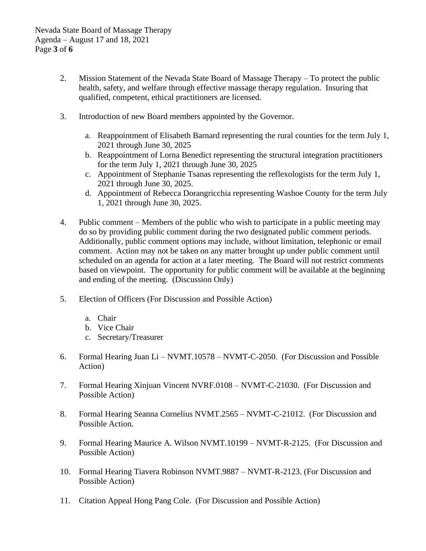- 2. Mission Statement of the Nevada State Board of Massage Therapy To protect the public health, safety, and welfare through effective massage therapy regulation. Insuring that qualified, competent, ethical practitioners are licensed.
- 3. Introduction of new Board members appointed by the Governor.
	- a. Reappointment of Elisabeth Barnard representing the rural counties for the term July 1, 2021 through June 30, 2025
	- b. Reappointment of Lorna Benedict representing the structural integration practitioners for the term July 1, 2021 through June 30, 2025
	- c. Appointment of Stephanie Tsanas representing the reflexologists for the term July 1, 2021 through June 30, 2025.
	- d. Appointment of Rebecca Dorangricchia representing Washoe County for the term July 1, 2021 through June 30, 2025.
- 4. Public comment Members of the public who wish to participate in a public meeting may do so by providing public comment during the two designated public comment periods. Additionally, public comment options may include, without limitation, telephonic or email comment. Action may not be taken on any matter brought up under public comment until scheduled on an agenda for action at a later meeting. The Board will not restrict comments based on viewpoint. The opportunity for public comment will be available at the beginning and ending of the meeting. (Discussion Only)
- 5. Election of Officers (For Discussion and Possible Action)
	- a. Chair
	- b. Vice Chair
	- c. Secretary/Treasurer
- 6. Formal Hearing Juan Li NVMT.10578 NVMT-C-2050. (For Discussion and Possible Action)
- 7. Formal Hearing Xinjuan Vincent NVRF.0108 NVMT-C-21030. (For Discussion and Possible Action)
- 8. Formal Hearing Seanna Cornelius NVMT.2565 NVMT-C-21012. (For Discussion and Possible Action.
- 9. Formal Hearing Maurice A. Wilson NVMT.10199 NVMT-R-2125. (For Discussion and Possible Action)
- 10. Formal Hearing Tiavera Robinson NVMT.9887 NVMT-R-2123. (For Discussion and Possible Action)
- 11. Citation Appeal Hong Pang Cole. (For Discussion and Possible Action)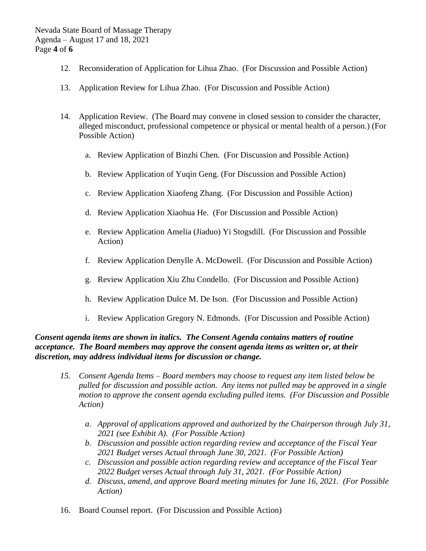- 12. Reconsideration of Application for Lihua Zhao. (For Discussion and Possible Action)
- 13. Application Review for Lihua Zhao. (For Discussion and Possible Action)
- 14. Application Review. (The Board may convene in closed session to consider the character, alleged misconduct, professional competence or physical or mental health of a person.) (For Possible Action)
	- a. Review Application of Binzhi Chen. (For Discussion and Possible Action)
	- b. Review Application of Yuqin Geng. (For Discussion and Possible Action)
	- c. Review Application Xiaofeng Zhang. (For Discussion and Possible Action)
	- d. Review Application Xiaohua He. (For Discussion and Possible Action)
	- e. Review Application Amelia (Jiaduo) Yi Stogsdill. (For Discussion and Possible Action)
	- f. Review Application Denylle A. McDowell. (For Discussion and Possible Action)
	- g. Review Application Xiu Zhu Condello. (For Discussion and Possible Action)
	- h. Review Application Dulce M. De Ison. (For Discussion and Possible Action)
	- i. Review Application Gregory N. Edmonds. (For Discussion and Possible Action)

### *Consent agenda items are shown in italics. The Consent Agenda contains matters of routine acceptance. The Board members may approve the consent agenda items as written or, at their discretion, may address individual items for discussion or change.*

- *15. Consent Agenda Items – Board members may choose to request any item listed below be pulled for discussion and possible action. Any items not pulled may be approved in a single motion to approve the consent agenda excluding pulled items. (For Discussion and Possible Action)*
	- *a. Approval of applications approved and authorized by the Chairperson through July 31, 2021 (see Exhibit A). (For Possible Action)*
	- *b. Discussion and possible action regarding review and acceptance of the Fiscal Year 2021 Budget verses Actual through June 30, 2021. (For Possible Action)*
	- *c. Discussion and possible action regarding review and acceptance of the Fiscal Year 2022 Budget verses Actual through July 31, 2021. (For Possible Action)*
	- *d. Discuss, amend, and approve Board meeting minutes for June 16, 2021. (For Possible Action)*
- 16. Board Counsel report. (For Discussion and Possible Action)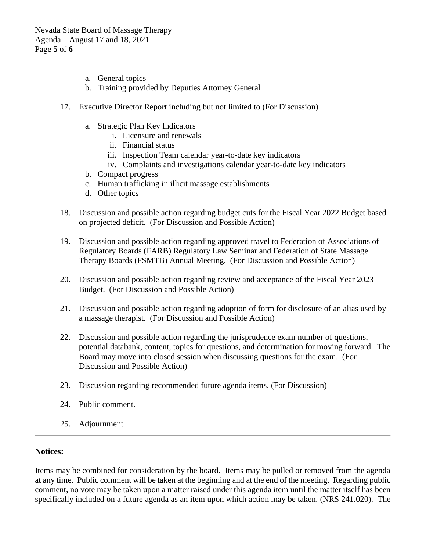Nevada State Board of Massage Therapy Agenda – August 17 and 18, 2021 Page **5** of **6**

- a. General topics
- b. Training provided by Deputies Attorney General
- 17. Executive Director Report including but not limited to (For Discussion)
	- a. Strategic Plan Key Indicators
		- i. Licensure and renewals
		- ii. Financial status
		- iii. Inspection Team calendar year-to-date key indicators
		- iv. Complaints and investigations calendar year-to-date key indicators
	- b. Compact progress
	- c. Human trafficking in illicit massage establishments
	- d. Other topics
- 18. Discussion and possible action regarding budget cuts for the Fiscal Year 2022 Budget based on projected deficit. (For Discussion and Possible Action)
- 19. Discussion and possible action regarding approved travel to Federation of Associations of Regulatory Boards (FARB) Regulatory Law Seminar and Federation of State Massage Therapy Boards (FSMTB) Annual Meeting. (For Discussion and Possible Action)
- 20. Discussion and possible action regarding review and acceptance of the Fiscal Year 2023 Budget. (For Discussion and Possible Action)
- 21. Discussion and possible action regarding adoption of form for disclosure of an alias used by a massage therapist. (For Discussion and Possible Action)
- 22. Discussion and possible action regarding the jurisprudence exam number of questions, potential databank, content, topics for questions, and determination for moving forward. The Board may move into closed session when discussing questions for the exam. (For Discussion and Possible Action)
- 23. Discussion regarding recommended future agenda items. (For Discussion)
- 24. Public comment.
- 25. Adjournment

#### **Notices:**

Items may be combined for consideration by the board. Items may be pulled or removed from the agenda at any time. Public comment will be taken at the beginning and at the end of the meeting. Regarding public comment, no vote may be taken upon a matter raised under this agenda item until the matter itself has been specifically included on a future agenda as an item upon which action may be taken. (NRS 241.020). The